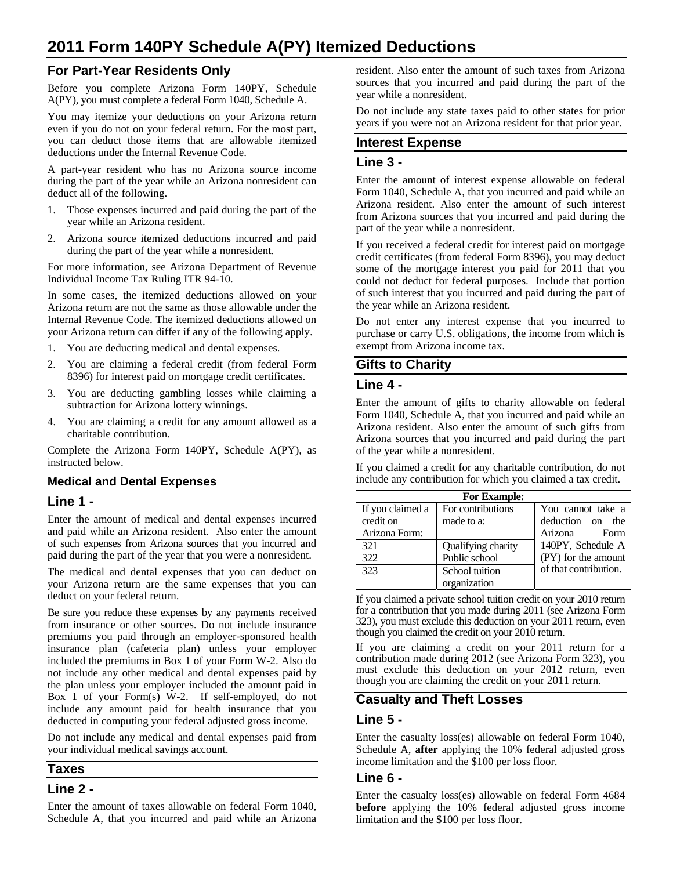# **2011 Form 140PY Schedule A(PY) Itemized Deductions**

# **For Part-Year Residents Only**

Before you complete Arizona Form 140PY, Schedule A(PY), you must complete a federal Form 1040, Schedule A.

You may itemize your deductions on your Arizona return even if you do not on your federal return. For the most part, you can deduct those items that are allowable itemized deductions under the Internal Revenue Code.

A part-year resident who has no Arizona source income during the part of the year while an Arizona nonresident can deduct all of the following.

- 1. Those expenses incurred and paid during the part of the year while an Arizona resident.
- 2. Arizona source itemized deductions incurred and paid during the part of the year while a nonresident.

For more information, see Arizona Department of Revenue Individual Income Tax Ruling ITR 94-10.

In some cases, the itemized deductions allowed on your Arizona return are not the same as those allowable under the Internal Revenue Code. The itemized deductions allowed on your Arizona return can differ if any of the following apply.

- 1. You are deducting medical and dental expenses.
- 2. You are claiming a federal credit (from federal Form 8396) for interest paid on mortgage credit certificates.
- 3. You are deducting gambling losses while claiming a subtraction for Arizona lottery winnings.
- 4. You are claiming a credit for any amount allowed as a charitable contribution.

Complete the Arizona Form 140PY, Schedule A(PY), as instructed below.

### **Medical and Dental Expenses**

#### **Line 1 -**

Enter the amount of medical and dental expenses incurred and paid while an Arizona resident. Also enter the amount of such expenses from Arizona sources that you incurred and paid during the part of the year that you were a nonresident.

The medical and dental expenses that you can deduct on your Arizona return are the same expenses that you can deduct on your federal return.

Be sure you reduce these expenses by any payments received from insurance or other sources. Do not include insurance premiums you paid through an employer-sponsored health insurance plan (cafeteria plan) unless your employer included the premiums in Box 1 of your Form W-2. Also do not include any other medical and dental expenses paid by the plan unless your employer included the amount paid in Box 1 of your Form(s) W-2. If self-employed, do not include any amount paid for health insurance that you deducted in computing your federal adjusted gross income.

Do not include any medical and dental expenses paid from your individual medical savings account.

### **Taxes**

# **Line 2 -**

Enter the amount of taxes allowable on federal Form 1040, Schedule A, that you incurred and paid while an Arizona resident. Also enter the amount of such taxes from Arizona sources that you incurred and paid during the part of the year while a nonresident.

Do not include any state taxes paid to other states for prior years if you were not an Arizona resident for that prior year.

#### **Interest Expense**

#### **Line 3 -**

Enter the amount of interest expense allowable on federal Form 1040, Schedule A, that you incurred and paid while an Arizona resident. Also enter the amount of such interest from Arizona sources that you incurred and paid during the part of the year while a nonresident.

If you received a federal credit for interest paid on mortgage credit certificates (from federal Form 8396), you may deduct some of the mortgage interest you paid for 2011 that you could not deduct for federal purposes. Include that portion of such interest that you incurred and paid during the part of the year while an Arizona resident.

Do not enter any interest expense that you incurred to purchase or carry U.S. obligations, the income from which is exempt from Arizona income tax.

# **Gifts to Charity**

#### **Line 4 -**

Enter the amount of gifts to charity allowable on federal Form 1040, Schedule A, that you incurred and paid while an Arizona resident. Also enter the amount of such gifts from Arizona sources that you incurred and paid during the part of the year while a nonresident.

If you claimed a credit for any charitable contribution, do not include any contribution for which you claimed a tax credit.

| <b>For Example:</b> |                    |                       |
|---------------------|--------------------|-----------------------|
| If you claimed a    | For contributions  | You cannot take a     |
| credit on           | made to a:         | deduction on the      |
| Arizona Form:       |                    | Arizona<br>Form       |
| 321                 | Qualifying charity | 140PY, Schedule A     |
| 322                 | Public school      | (PY) for the amount   |
| 323                 | School tuition     | of that contribution. |
|                     | organization       |                       |

If you claimed a private school tuition credit on your 2010 return for a contribution that you made during 2011 (see Arizona Form 323), you must exclude this deduction on your 2011 return, even though you claimed the credit on your 2010 return.

If you are claiming a credit on your 2011 return for a contribution made during 2012 (see Arizona Form 323), you must exclude this deduction on your 2012 return, even though you are claiming the credit on your 2011 return.

# **Casualty and Theft Losses**

### **Line 5 -**

Enter the casualty loss(es) allowable on federal Form 1040, Schedule A, **after** applying the 10% federal adjusted gross income limitation and the \$100 per loss floor.

### **Line 6 -**

Enter the casualty loss(es) allowable on federal Form 4684 **before** applying the 10% federal adjusted gross income limitation and the \$100 per loss floor.